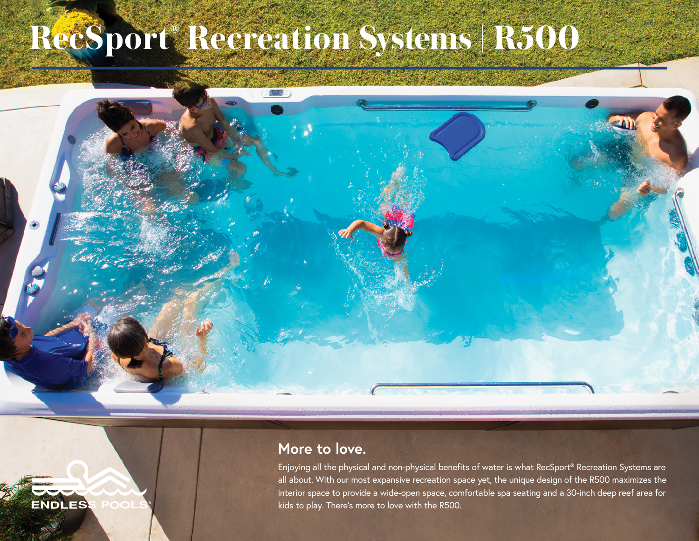## **RecSport® Recreation Systems | R500**

## **More to love.**

Enjoying all the physical and non-physical benefits of water is what RecSport® Recreation Systems are all about. With our most expansive recreation space yet, the unique design of the R500 maximizes the interior space to provide a wide-open space, comfortable spa seating and a 30-inch deep reef area for kids to play. There's more to love with the R500.